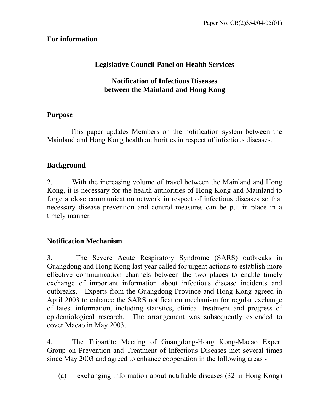# **For information**

# **Legislative Council Panel on Health Services**

# **Notification of Infectious Diseases between the Mainland and Hong Kong**

# **Purpose**

 This paper updates Members on the notification system between the Mainland and Hong Kong health authorities in respect of infectious diseases.

# **Background**

2. With the increasing volume of travel between the Mainland and Hong Kong, it is necessary for the health authorities of Hong Kong and Mainland to forge a close communication network in respect of infectious diseases so that necessary disease prevention and control measures can be put in place in a timely manner.

# **Notification Mechanism**

3. The Severe Acute Respiratory Syndrome (SARS) outbreaks in Guangdong and Hong Kong last year called for urgent actions to establish more effective communication channels between the two places to enable timely exchange of important information about infectious disease incidents and outbreaks. Experts from the Guangdong Province and Hong Kong agreed in April 2003 to enhance the SARS notification mechanism for regular exchange of latest information, including statistics, clinical treatment and progress of epidemiological research. The arrangement was subsequently extended to cover Macao in May 2003.

4. The Tripartite Meeting of Guangdong-Hong Kong-Macao Expert Group on Prevention and Treatment of Infectious Diseases met several times since May 2003 and agreed to enhance cooperation in the following areas -

(a) exchanging information about notifiable diseases (32 in Hong Kong)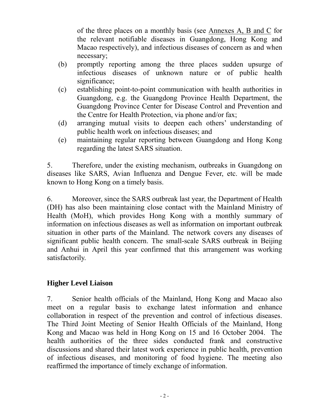of the three places on a monthly basis (see Annexes A, B and C for the relevant notifiable diseases in Guangdong, Hong Kong and Macao respectively), and infectious diseases of concern as and when necessary;

- (b) promptly reporting among the three places sudden upsurge of infectious diseases of unknown nature or of public health significance:
- (c) establishing point-to-point communication with health authorities in Guangdong, e.g. the Guangdong Province Health Department, the Guangdong Province Center for Disease Control and Prevention and the Centre for Health Protection, via phone and/or fax;
- (d) arranging mutual visits to deepen each others' understanding of public health work on infectious diseases; and
- (e) maintaining regular reporting between Guangdong and Hong Kong regarding the latest SARS situation.

5. Therefore, under the existing mechanism, outbreaks in Guangdong on diseases like SARS, Avian Influenza and Dengue Fever, etc. will be made known to Hong Kong on a timely basis.

6. Moreover, since the SARS outbreak last year, the Department of Health (DH) has also been maintaining close contact with the Mainland Ministry of Health (MoH), which provides Hong Kong with a monthly summary of information on infectious diseases as well as information on important outbreak situation in other parts of the Mainland. The network covers any diseases of significant public health concern. The small-scale SARS outbreak in Beijing and Anhui in April this year confirmed that this arrangement was working satisfactorily.

# **Higher Level Liaison**

7. Senior health officials of the Mainland, Hong Kong and Macao also meet on a regular basis to exchange latest information and enhance collaboration in respect of the prevention and control of infectious diseases. The Third Joint Meeting of Senior Health Officials of the Mainland, Hong Kong and Macao was held in Hong Kong on 15 and 16 October 2004. The health authorities of the three sides conducted frank and constructive discussions and shared their latest work experience in public health, prevention of infectious diseases, and monitoring of food hygiene. The meeting also reaffirmed the importance of timely exchange of information.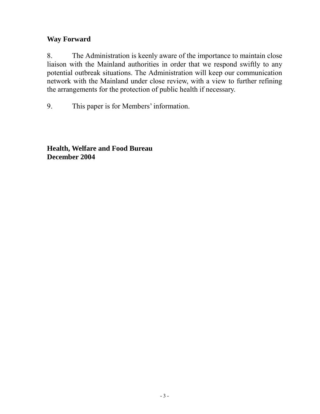# **Way Forward**

8. The Administration is keenly aware of the importance to maintain close liaison with the Mainland authorities in order that we respond swiftly to any potential outbreak situations. The Administration will keep our communication network with the Mainland under close review, with a view to further refining the arrangements for the protection of public health if necessary.

9. This paper is for Members' information.

**Health, Welfare and Food Bureau December 2004**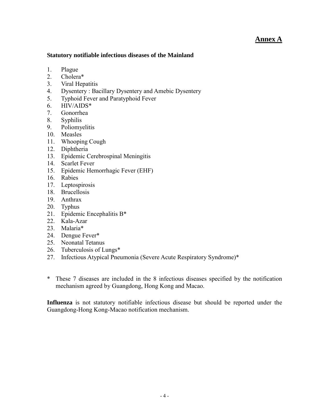### **Annex A**

#### **Statutory notifiable infectious diseases of the Mainland**

- 1. Plague
- 2. Cholera\*
- 3. Viral Hepatitis
- 4. Dysentery : Bacillary Dysentery and Amebic Dysentery
- 5. Typhoid Fever and Paratyphoid Fever
- 6. HIV/AIDS\*
- 7. Gonorrhea
- 8. Syphilis
- 9. Poliomyelitis
- 10. Measles
- 11. Whooping Cough
- 12. Diphtheria
- 13. Epidemic Cerebrospinal Meningitis
- 14. Scarlet Fever
- 15. Epidemic Hemorrhagic Fever (EHF)
- 16. Rabies
- 17. Leptospirosis
- 18. Brucellosis
- 19. Anthrax
- 20. Typhus
- 21. Epidemic Encephalitis B\*
- 22. Kala-Azar
- 23. Malaria\*
- 24. Dengue Fever\*
- 25. Neonatal Tetanus
- 26. Tuberculosis of Lungs\*
- 27. Infectious Atypical Pneumonia (Severe Acute Respiratory Syndrome)\*
- \* These 7 diseases are included in the 8 infectious diseases specified by the notification mechanism agreed by Guangdong, Hong Kong and Macao.

**Influenza** is not statutory notifiable infectious disease but should be reported under the Guangdong-Hong Kong-Macao notification mechanism.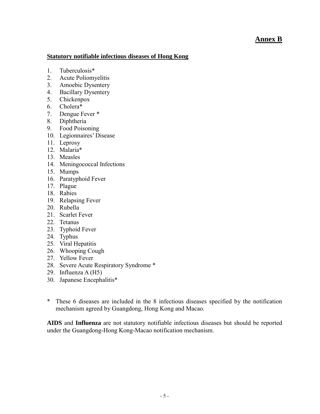#### **Annex B**

#### **Statutory notifiable infectious diseases of Hong Kong**

- 1. Tuberculosis\*
- 2. Acute Poliomyelitis
- 3. Amoebic Dysentery
- 4. Bacillary Dysentery
- 5. Chickenpox
- 6. Cholera\*
- 7. Dengue Fever \*
- 8. Diphtheria
- 9. Food Poisoning
- 10. Legionnaires' Disease
- 11. Leprosy
- 12. Malaria\*
- 13. Measles
- 14. Meningococcal Infections
- 15. Mumps
- 16. Paratyphoid Fever
- 17. Plague
- 18. Rabies
- 19. Relapsing Fever
- 20. Rubella
- 21. Scarlet Fever
- 22. Tetanus
- 23. Typhoid Fever
- 24. Typhus
- 25. Viral Hepatitis
- 26. Whooping Cough
- 27. Yellow Fever
- 28. Severe Acute Respiratory Syndrome \*
- 29. Influenza A (H5)
- 30. Japanese Encephalitis\*
- \* These 6 diseases are included in the 8 infectious diseases specified by the notification mechanism agreed by Guangdong, Hong Kong and Macao.

**AIDS** and **Influenza** are not statutory notifiable infectious diseases but should be reported under the Guangdong-Hong Kong-Macao notification mechanism.